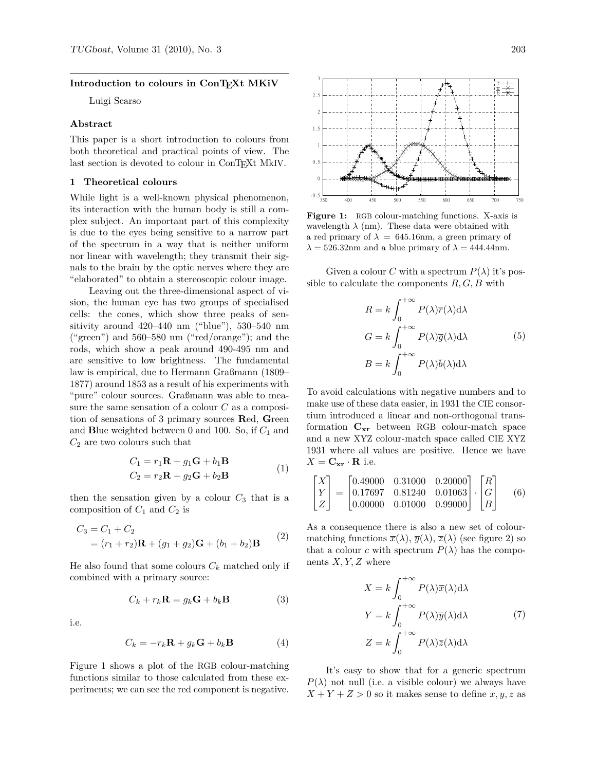### **Introduction to colours in ConTEXt MKiV**

Luigi Scarso

#### **Abstract**

This paper is a short introduction to colours from both theoretical and practical points of view. The last section is devoted to colour in ConTEXt MkIV.

# **1 Theoretical colours**

While light is a well-known physical phenomenon, its interaction with the human body is still a complex subject. An important part of this complexity is due to the eyes being sensitive to a narrow part of the spectrum in a way that is neither uniform nor linear with wavelength; they transmit their signals to the brain by the optic nerves where they are "elaborated" to obtain a stereoscopic colour image.

Leaving out the three-dimensional aspect of vision, the human eye has two groups of specialised cells: the cones, which show three peaks of sensitivity around 420–440 nm ("blue"), 530–540 nm ("green") and 560–580 nm ("red/orange"); and the rods, which show a peak around 490-495 nm and are sensitive to low brightness. The fundamental law is empirical, due to Hermann Graßmann (1809– 1877) around 1853 as a result of his experiments with "pure" colour sources. Graßmann was able to measure the same sensation of a colour *C* as a composition of sensations of 3 primary sources **R**ed, **G**reen and **B**lue weighted between 0 and 100. So, if *C*<sup>1</sup> and *C*<sup>2</sup> are two colours such that

$$
C_1 = r_1 \mathbf{R} + g_1 \mathbf{G} + b_1 \mathbf{B}
$$
  
\n
$$
C_2 = r_2 \mathbf{R} + g_2 \mathbf{G} + b_2 \mathbf{B}
$$
 (1)

then the sensation given by a colour  $C_3$  that is a composition of  $C_1$  and  $C_2$  is

$$
C_3 = C_1 + C_2
$$
  
=  $(r_1 + r_2)\mathbf{R} + (g_1 + g_2)\mathbf{G} + (b_1 + b_2)\mathbf{B}$  (2)

He also found that some colours  $C_k$  matched only if combined with a primary source:

$$
C_k + r_k \mathbf{R} = g_k \mathbf{G} + b_k \mathbf{B}
$$
 (3)

i.e.

$$
C_k = -r_k \mathbf{R} + g_k \mathbf{G} + b_k \mathbf{B}
$$
 (4)

Figure 1 shows a plot of the RGB colour-matching functions similar to those calculated from these experiments; we can see the red component is negative.



**Figure 1:** RGB colour-matching functions. X-axis is wavelength  $\lambda$  (nm). These data were obtained with a red primary of  $\lambda = 645.16$ nm, a green primary of  $\lambda = 526.32$ nm and a blue primary of  $\lambda = 444.44$ nm.

Given a colour *C* with a spectrum  $P(\lambda)$  it's possible to calculate the components *R, G, B* with

$$
R = k \int_0^{+\infty} P(\lambda) \overline{r}(\lambda) d\lambda
$$
  
\n
$$
G = k \int_0^{+\infty} P(\lambda) \overline{g}(\lambda) d\lambda
$$
 (5)  
\n
$$
B = k \int_0^{+\infty} P(\lambda) \overline{b}(\lambda) d\lambda
$$

To avoid calculations with negative numbers and to make use of these data easier, in 1931 the CIE consortium introduced a linear and non-orthogonal transformation **Cxr** between RGB colour-match space and a new XYZ colour-match space called CIE XYZ 1931 where all values are positive. Hence we have  $X = \mathbf{C}_{\mathbf{x}\mathbf{r}} \cdot \mathbf{R}$  i.e.

$$
\begin{bmatrix} X \\ Y \\ Z \end{bmatrix} = \begin{bmatrix} 0.49000 & 0.31000 & 0.20000 \\ 0.17697 & 0.81240 & 0.01063 \\ 0.00000 & 0.01000 & 0.99000 \end{bmatrix} \cdot \begin{bmatrix} R \\ G \\ B \end{bmatrix}
$$
 (6)

As a consequence there is also a new set of colourmatching functions  $\bar{x}(\lambda)$ ,  $\bar{y}(\lambda)$ ,  $\bar{z}(\lambda)$  (see figure 2) so that a colour *c* with spectrum  $P(\lambda)$  has the components *X, Y, Z* where

$$
X = k \int_0^{+\infty} P(\lambda) \overline{x}(\lambda) d\lambda
$$
  
\n
$$
Y = k \int_0^{+\infty} P(\lambda) \overline{y}(\lambda) d\lambda
$$
 (7)  
\n
$$
Z = k \int_0^{+\infty} P(\lambda) \overline{z}(\lambda) d\lambda
$$

It's easy to show that for a generic spectrum  $P(\lambda)$  not null (i.e. a visible colour) we always have  $X + Y + Z > 0$  so it makes sense to define  $x, y, z$  as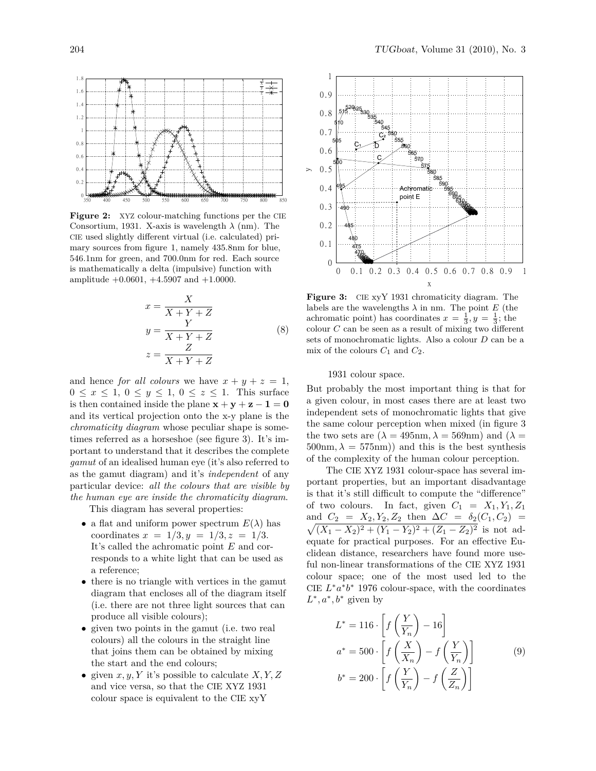

**Figure 2:** XYZ colour-matching functions per the CIE Consortium, 1931. X-axis is wavelength  $\lambda$  (nm). The CIE used slightly different virtual (i.e. calculated) primary sources from figure 1, namely 435.8nm for blue, 546.1nm for green, and 700.0nm for red. Each source is mathematically a delta (impulsive) function with amplitude  $+0.0601, +4.5907$  and  $+1.0000$ .

$$
x = \frac{X}{X + Y + Z}
$$
  
\n
$$
y = \frac{Y}{X + Y + Z}
$$
  
\n
$$
z = \frac{Z}{X + Y + Z}
$$
\n(8)

and hence *for all colours* we have  $x + y + z = 1$ ,  $0 \leq x \leq 1, 0 \leq y \leq 1, 0 \leq z \leq 1$ . This surface is then contained inside the plane  $\mathbf{x} + \mathbf{y} + \mathbf{z} - \mathbf{1} = \mathbf{0}$ and its vertical projection onto the x-y plane is the *chromaticity diagram* whose peculiar shape is sometimes referred as a horseshoe (see figure 3). It's important to understand that it describes the complete *gamut* of an idealised human eye (it's also referred to as the gamut diagram) and it's *independent* of any particular device: *all the colours that are visible by the human eye are inside the chromaticity diagram*.

This diagram has several properties:

- a flat and uniform power spectrum  $E(\lambda)$  has coordinates  $x = 1/3, y = 1/3, z = 1/3.$ It's called the achromatic point *E* and corresponds to a white light that can be used as a reference;
- there is no triangle with vertices in the gamut diagram that encloses all of the diagram itself (i.e. there are not three light sources that can produce all visible colours);
- given two points in the gamut (i.e. two real colours) all the colours in the straight line that joins them can be obtained by mixing the start and the end colours;
- given  $x, y, Y$  it's possible to calculate  $X, Y, Z$ and vice versa, so that the CIE XYZ 1931 colour space is equivalent to the CIE xyY



**Figure 3:** CIE xyY 1931 chromaticity diagram. The labels are the wavelengths  $\lambda$  in nm. The point *E* (the achromatic point) has coordinates  $x = \frac{1}{3}$ ,  $y = \frac{1}{3}$ ; the colour *C* can be seen as a result of mixing two different sets of monochromatic lights. Also a colour *D* can be a mix of the colours  $C_1$  and  $C_2$ .

1931 colour space.

But probably the most important thing is that for a given colour, in most cases there are at least two independent sets of monochromatic lights that give the same colour perception when mixed (in figure 3 the two sets are  $(\lambda = 495$ nm,  $\lambda = 569$ nm) and  $(\lambda =$  $500 \text{nm}, \lambda = 575 \text{nm}$ ) and this is the best synthesis of the complexity of the human colour perception.

The CIE XYZ 1931 colour-space has several important properties, but an important disadvantage is that it's still difficult to compute the "difference" of two colours. In fact, given  $C_1 = X_1, Y_1, Z_1$ and  $\sqrt{ }$  $C_2 = X_2, Y_2, Z_2$  then  $\Delta C = \delta_2(C_1, C_2)$  $(X_1 - X_2)^2 + (Y_1 - Y_2)^2 + (Z_1 - Z_2)^2$  is not adequate for practical purposes. For an effective Euclidean distance, researchers have found more useful non-linear transformations of the CIE XYZ 1931 colour space; one of the most used led to the CIE  $L^*a^*b^*$  1976 colour-space, with the coordinates  $L^*, a^*, b^*$  given by

$$
L^* = 116 \cdot \left[ f\left(\frac{Y}{Y_n}\right) - 16 \right]
$$
  
\n
$$
a^* = 500 \cdot \left[ f\left(\frac{X}{X_n}\right) - f\left(\frac{Y}{Y_n}\right) \right]
$$
  
\n
$$
b^* = 200 \cdot \left[ f\left(\frac{Y}{Y_n}\right) - f\left(\frac{Z}{Z_n}\right) \right]
$$
\n(9)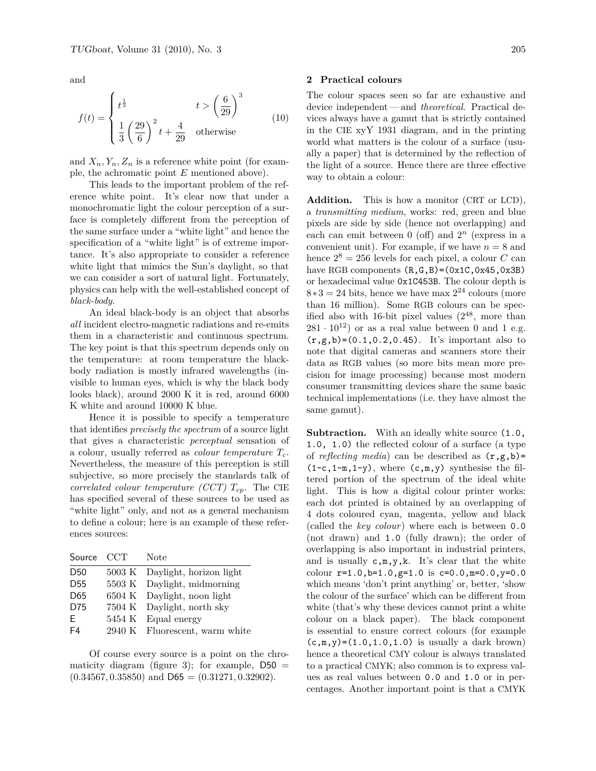and

$$
f(t) = \begin{cases} t^{\frac{1}{3}} & t > \left(\frac{6}{29}\right)^3\\ \frac{1}{3}\left(\frac{29}{6}\right)^2 t + \frac{4}{29} & \text{otherwise} \end{cases}
$$
(10)

and  $X_n, Y_n, Z_n$  is a reference white point (for example, the achromatic point *E* mentioned above).

This leads to the important problem of the reference white point. It's clear now that under a monochromatic light the colour perception of a surface is completely different from the perception of the same surface under a "white light" and hence the specification of a "white light" is of extreme importance. It's also appropriate to consider a reference white light that mimics the Sun's daylight, so that we can consider a sort of natural light. Fortunately, physics can help with the well-established concept of *black-body*.

An ideal black-body is an object that absorbs *all* incident electro-magnetic radiations and re-emits them in a characteristic and continuous spectrum. The key point is that this spectrum depends only on the temperature: at room temperature the blackbody radiation is mostly infrared wavelengths (invisible to human eyes, which is why the black body looks black), around 2000 K it is red, around 6000 K white and around 10000 K blue.

Hence it is possible to specify a temperature that identifies *precisely the spectrum* of a source light that gives a characteristic *perceptual* sensation of a colour, usually referred as *colour temperature Tc*. Nevertheless, the measure of this perception is still subjective, so more precisely the standards talk of *correlated colour temperature (CCT)*  $T_{cp}$ . The CIE has specified several of these sources to be used as "white light" only, and not as a general mechanism to define a colour; here is an example of these references sources:

| Source CCT      | <b>Note</b>                    |
|-----------------|--------------------------------|
| D <sub>50</sub> | 5003 K Daylight, horizon light |
| D <sub>55</sub> | 5503 K Daylight, midmorning    |
| D <sub>65</sub> | 6504 K Daylight, noon light    |
| D75             | 7504 K Daylight, north sky     |
| F               | 5454 K Equal energy            |
| F4              | 2940 K Fluorescent, warm white |

Of course every source is a point on the chromaticity diagram (figure 3); for example,  $D50 =$ (0*.*34567*,* 0*.*35850) and D65 = (0*.*31271*,* 0*.*32902).

#### **2 Practical colours**

The colour spaces seen so far are exhaustive and device independent — and *theoretical*. Practical devices always have a gamut that is strictly contained in the CIE xyY 1931 diagram, and in the printing world what matters is the colour of a surface (usually a paper) that is determined by the reflection of the light of a source. Hence there are three effective way to obtain a colour:

**Addition.** This is how a monitor (CRT or LCD), a *transmitting medium*, works: red, green and blue pixels are side by side (hence not overlapping) and each can emit between  $0$  (off) and  $2<sup>n</sup>$  (express in a convenient unit). For example, if we have  $n = 8$  and hence  $2^8 = 256$  levels for each pixel, a colour *C* can have RGB components  $(R,G,B)=(0x1C,0x45,0x3B)$ or hexadecimal value 0x1C453B. The colour depth is  $8*3 = 24$  bits, hence we have max  $2^{24}$  colours (more than 16 million). Some RGB colours can be specified also with 16-bit pixel values  $(2^{48}, \text{ more than})$  $281 \cdot 10^{12}$  or as a real value between 0 and 1 e.g.  $(r, g, b) = (0.1, 0.2, 0.45)$ . It's important also to note that digital cameras and scanners store their data as RGB values (so more bits mean more precision for image processing) because most modern consumer transmitting devices share the same basic technical implementations (i.e. they have almost the same gamut).

**Subtraction.** With an ideally white source  $(1.0,$ 1.0, 1.0) the reflected colour of a surface (a type of *reflecting media*) can be described as  $(r, g, b)$ =  $(1-c,1-m,1-y)$ , where  $(c,m,y)$  synthesise the filtered portion of the spectrum of the ideal white light. This is how a digital colour printer works: each dot printed is obtained by an overlapping of 4 dots coloured cyan, magenta, yellow and black (called the *key colour*) where each is between 0.0 (not drawn) and 1.0 (fully drawn); the order of overlapping is also important in industrial printers, and is usually  $c, m, y, k$ . It's clear that the white colour  $r=1.0$ ,  $b=1.0$ ,  $g=1.0$  is  $c=0.0$ ,  $m=0.0$ ,  $y=0.0$ which means 'don't print anything' or, better, 'show the colour of the surface' which can be different from white (that's why these devices cannot print a white colour on a black paper). The black component is essential to ensure correct colours (for example  $(c,m,y)=(1.0,1.0,1.0)$  is usually a dark brown) hence a theoretical CMY colour is always translated to a practical CMYK; also common is to express values as real values between 0.0 and 1.0 or in percentages. Another important point is that a CMYK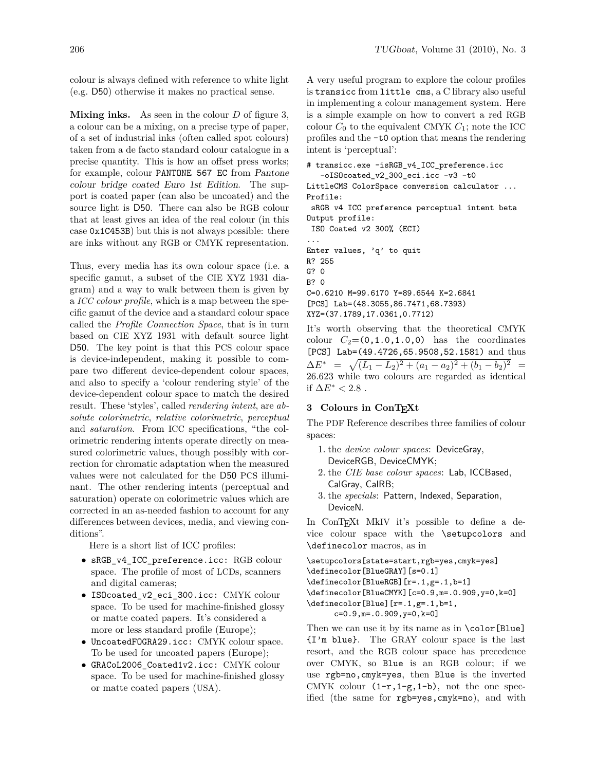colour is always defined with reference to white light (e.g. D50) otherwise it makes no practical sense.

**Mixing inks.** As seen in the colour *D* of figure 3, a colour can be a mixing, on a precise type of paper, of a set of industrial inks (often called spot colours) taken from a de facto standard colour catalogue in a precise quantity. This is how an offset press works; for example, colour PANTONE 567 EC from Pantone colour bridge coated Euro 1st Edition. The support is coated paper (can also be uncoated) and the source light is D50. There can also be RGB colour that at least gives an idea of the real colour (in this case 0x1C453B) but this is not always possible: there are inks without any RGB or CMYK representation.

Thus, every media has its own colour space (i.e. a specific gamut, a subset of the CIE XYZ 1931 diagram) and a way to walk between them is given by a *ICC colour profile*, which is a map between the specific gamut of the device and a standard colour space called the *Profile Connection Space*, that is in turn based on CIE XYZ 1931 with default source light D50. The key point is that this PCS colour space is device-independent, making it possible to compare two different device-dependent colour spaces, and also to specify a 'colour rendering style' of the device-dependent colour space to match the desired result. These 'styles', called *rendering intent*, are *absolute colorimetric*, *relative colorimetric*, *perceptual* and *saturation*. From ICC specifications, "the colorimetric rendering intents operate directly on measured colorimetric values, though possibly with correction for chromatic adaptation when the measured values were not calculated for the D50 PCS illuminant. The other rendering intents (perceptual and saturation) operate on colorimetric values which are corrected in an as-needed fashion to account for any differences between devices, media, and viewing conditions".

Here is a short list of ICC profiles:

- sRGB\_v4\_ICC\_preference.icc: RGB colour space. The profile of most of LCDs, scanners and digital cameras;
- ISOcoated\_v2\_eci\_300.icc: CMYK colour space. To be used for machine-finished glossy or matte coated papers. It's considered a more or less standard profile (Europe);
- UncoatedFOGRA29.icc: CMYK colour space. To be used for uncoated papers (Europe);
- GRACoL2006\_Coated1v2.icc: CMYK colour space. To be used for machine-finished glossy or matte coated papers (USA).

A very useful program to explore the colour profiles is transicc from little cms, a C library also useful in implementing a colour management system. Here is a simple example on how to convert a red RGB colour  $C_0$  to the equivalent CMYK  $C_1$ ; note the ICC profiles and the -t0 option that means the rendering intent is 'perceptual':

```
# transicc.exe -isRGB_v4_ICC_preference.icc
   -oISOcoated_v2_300_eci.icc -v3 -t0
```
LittleCMS ColorSpace conversion calculator ... Profile:

sRGB v4 ICC preference perceptual intent beta Output profile:

ISO Coated v2 300% (ECI)

... Enter values, 'q' to quit R? 255 G? 0 B? 0 C=0.6210 M=99.6170 Y=89.6544 K=2.6841 [PCS] Lab=(48.3055,86.7471,68.7393) XYZ=(37.1789,17.0361,0.7712)

It's worth observing that the theoretical CMYK colour  $C_2=(0,1.0,1.0,0)$  has the coordinates [PCS] Lab=(49.4726,65.9508,52.1581) and thus  $\Delta E^* = \sqrt{(L_1 - L_2)^2 + (a_1 - a_2)^2 + (b_1 - b_2)^2}$ 26*.*623 while two colours are regarded as identical if  $\Delta E^*$  < 2.8 .

### **3 Colours in ConTEXt**

The PDF Reference describes three families of colour spaces:

- 1. the *device colour spaces*: DeviceGray, DeviceRGB, DeviceCMYK;
- 2. the *CIE base colour spaces*: Lab, ICCBased, CalGray, CalRB;
- 3. the *specials*: Pattern, Indexed, Separation, DeviceN.

In ConTEXt MkIV it's possible to define a device colour space with the \setupcolors and \definecolor macros, as in

```
\setupcolors[state=start,rgb=yes,cmyk=yes]
\definecolor[BlueGRAY][s=0.1]
\definecolor[BlueRGB][r=.1,g=.1,b=1]
\definecolor[BlueCMYK][c=0.9,m=.0.909,y=0,k=0]
\definecolor[Blue][r=.1,g=.1,b=1,
      c=0.9,m=.0.909,y=0,k=0]
```
Then we can use it by its name as in \color[Blue] {I'm blue}. The GRAY colour space is the last resort, and the RGB colour space has precedence over CMYK, so Blue is an RGB colour; if we use rgb=no,cmyk=yes, then Blue is the inverted CMYK colour  $(1-r, 1-g, 1-b)$ , not the one specified (the same for rgb=yes,cmyk=no), and with